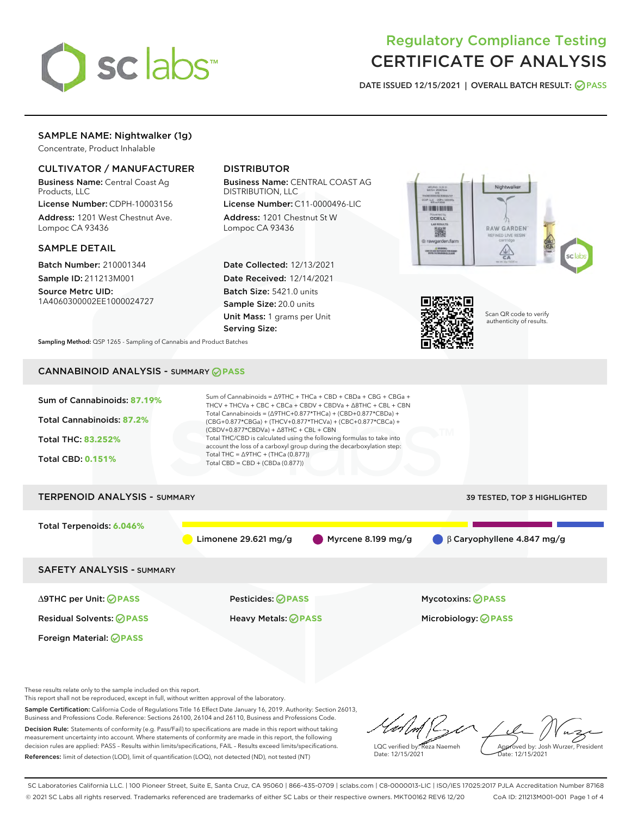

# Regulatory Compliance Testing CERTIFICATE OF ANALYSIS

DATE ISSUED 12/15/2021 | OVERALL BATCH RESULT: @ PASS

# SAMPLE NAME: Nightwalker (1g)

Concentrate, Product Inhalable

# CULTIVATOR / MANUFACTURER

Business Name: Central Coast Ag Products, LLC

License Number: CDPH-10003156 Address: 1201 West Chestnut Ave. Lompoc CA 93436

#### SAMPLE DETAIL

Batch Number: 210001344 Sample ID: 211213M001

Source Metrc UID: 1A4060300002EE1000024727

# DISTRIBUTOR

Business Name: CENTRAL COAST AG DISTRIBUTION, LLC

License Number: C11-0000496-LIC Address: 1201 Chestnut St W Lompoc CA 93436

Date Collected: 12/13/2021 Date Received: 12/14/2021 Batch Size: 5421.0 units Sample Size: 20.0 units Unit Mass: 1 grams per Unit Serving Size:





Scan QR code to verify authenticity of results.

Sampling Method: QSP 1265 - Sampling of Cannabis and Product Batches

# CANNABINOID ANALYSIS - SUMMARY **PASS**

| Sum of Cannabinoids: 87.19%<br><b>Total Cannabinoids: 87.2%</b><br><b>Total THC: 83.252%</b><br><b>Total CBD: 0.151%</b> | Sum of Cannabinoids = $\triangle$ 9THC + THCa + CBD + CBDa + CBG + CBGa +<br>THCV + THCVa + CBC + CBCa + CBDV + CBDVa + $\Delta$ 8THC + CBL + CBN<br>Total Cannabinoids = $(\Delta$ 9THC+0.877*THCa) + (CBD+0.877*CBDa) +<br>(CBG+0.877*CBGa) + (THCV+0.877*THCVa) + (CBC+0.877*CBCa) +<br>$(CBDV+0.877*CBDVa) + \Delta 8THC + CBL + CBN$<br>Total THC/CBD is calculated using the following formulas to take into<br>account the loss of a carboxyl group during the decarboxylation step:<br>Total THC = $\triangle$ 9THC + (THCa (0.877))<br>Total CBD = CBD + (CBDa $(0.877)$ ) |                                  |  |  |  |  |
|--------------------------------------------------------------------------------------------------------------------------|-------------------------------------------------------------------------------------------------------------------------------------------------------------------------------------------------------------------------------------------------------------------------------------------------------------------------------------------------------------------------------------------------------------------------------------------------------------------------------------------------------------------------------------------------------------------------------------|----------------------------------|--|--|--|--|
| <b>TERPENOID ANALYSIS - SUMMARY</b><br>39 TESTED, TOP 3 HIGHLIGHTED                                                      |                                                                                                                                                                                                                                                                                                                                                                                                                                                                                                                                                                                     |                                  |  |  |  |  |
| Total Terpenoids: 6.046%                                                                                                 | Limonene 29.621 $mg/g$<br>Myrcene 8.199 mg/g                                                                                                                                                                                                                                                                                                                                                                                                                                                                                                                                        | $\beta$ Caryophyllene 4.847 mg/g |  |  |  |  |
| <b>SAFETY ANALYSIS - SUMMARY</b>                                                                                         |                                                                                                                                                                                                                                                                                                                                                                                                                                                                                                                                                                                     |                                  |  |  |  |  |
| ∆9THC per Unit: ⊘PASS                                                                                                    | Pesticides: ⊘PASS                                                                                                                                                                                                                                                                                                                                                                                                                                                                                                                                                                   | <b>Mycotoxins: ⊘PASS</b>         |  |  |  |  |
| <b>Residual Solvents: ⊘PASS</b>                                                                                          | <b>Heavy Metals: ⊘ PASS</b>                                                                                                                                                                                                                                                                                                                                                                                                                                                                                                                                                         | Microbiology: <b>OPASS</b>       |  |  |  |  |
| Foreign Material: <b>⊘ PASS</b>                                                                                          |                                                                                                                                                                                                                                                                                                                                                                                                                                                                                                                                                                                     |                                  |  |  |  |  |

These results relate only to the sample included on this report.

This report shall not be reproduced, except in full, without written approval of the laboratory.

Sample Certification: California Code of Regulations Title 16 Effect Date January 16, 2019. Authority: Section 26013, Business and Professions Code. Reference: Sections 26100, 26104 and 26110, Business and Professions Code. Decision Rule: Statements of conformity (e.g. Pass/Fail) to specifications are made in this report without taking measurement uncertainty into account. Where statements of conformity are made in this report, the following

decision rules are applied: PASS – Results within limits/specifications, FAIL – Results exceed limits/specifications. References: limit of detection (LOD), limit of quantification (LOQ), not detected (ND), not tested (NT)

LQC verified by: Reza Naemeh Date: 12/15/2021 Approved by: Josh Wurzer, President Date: 12/15/2021

SC Laboratories California LLC. | 100 Pioneer Street, Suite E, Santa Cruz, CA 95060 | 866-435-0709 | sclabs.com | C8-0000013-LIC | ISO/IES 17025:2017 PJLA Accreditation Number 87168 © 2021 SC Labs all rights reserved. Trademarks referenced are trademarks of either SC Labs or their respective owners. MKT00162 REV6 12/20 CoA ID: 211213M001-001 Page 1 of 4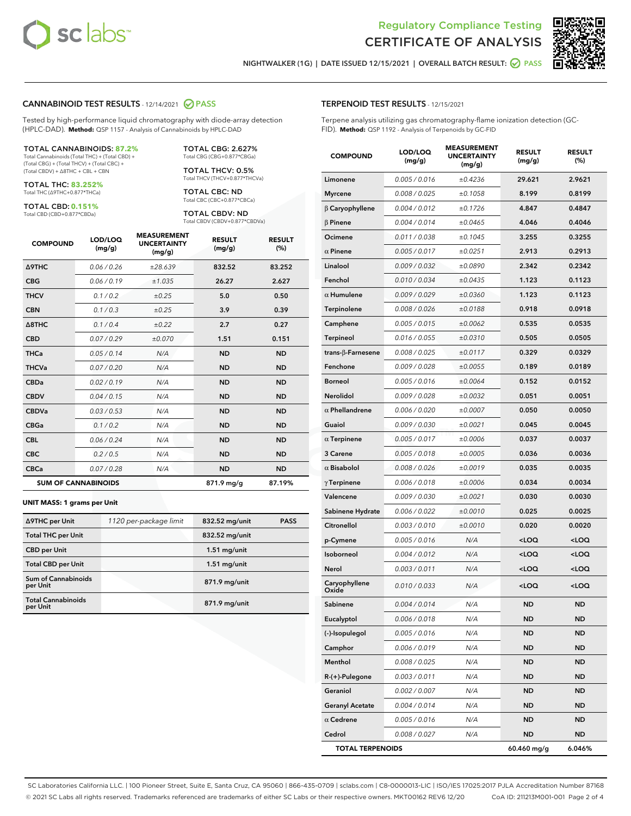



NIGHTWALKER (1G) | DATE ISSUED 12/15/2021 | OVERALL BATCH RESULT: **○** PASS

#### CANNABINOID TEST RESULTS - 12/14/2021 2 PASS

Tested by high-performance liquid chromatography with diode-array detection (HPLC-DAD). **Method:** QSP 1157 - Analysis of Cannabinoids by HPLC-DAD

#### TOTAL CANNABINOIDS: **87.2%**

Total Cannabinoids (Total THC) + (Total CBD) + (Total CBG) + (Total THCV) + (Total CBC) + (Total CBDV) + ∆8THC + CBL + CBN

TOTAL THC: **83.252%** Total THC (∆9THC+0.877\*THCa)

TOTAL CBD: **0.151%**

Total CBD (CBD+0.877\*CBDa)

TOTAL CBG: 2.627% Total CBG (CBG+0.877\*CBGa)

TOTAL THCV: 0.5% Total THCV (THCV+0.877\*THCVa)

TOTAL CBC: ND Total CBC (CBC+0.877\*CBCa)

TOTAL CBDV: ND Total CBDV (CBDV+0.877\*CBDVa)

| <b>COMPOUND</b>            | LOD/LOQ<br>(mg/g) | <b>MEASUREMENT</b><br><b>UNCERTAINTY</b><br>(mg/g) | <b>RESULT</b><br>(mg/g) | <b>RESULT</b><br>(%) |
|----------------------------|-------------------|----------------------------------------------------|-------------------------|----------------------|
| Δ9THC                      | 0.06 / 0.26       | ±28.639                                            | 832.52                  | 83.252               |
| <b>CBG</b>                 | 0.06/0.19         | ±1.035                                             | 26.27                   | 2.627                |
| <b>THCV</b>                | 0.1/0.2           | ±0.25                                              | 5.0                     | 0.50                 |
| <b>CBN</b>                 | 0.1/0.3           | ±0.25                                              | 3.9                     | 0.39                 |
| $\triangle$ 8THC           | 0.1/0.4           | ±0.22                                              | 2.7                     | 0.27                 |
| <b>CBD</b>                 | 0.07/0.29         | ±0.070                                             | 1.51                    | 0.151                |
| <b>THCa</b>                | 0.05/0.14         | N/A                                                | <b>ND</b>               | <b>ND</b>            |
| <b>THCVa</b>               | 0.07/0.20         | N/A                                                | <b>ND</b>               | <b>ND</b>            |
| <b>CBDa</b>                | 0.02/0.19         | N/A                                                | <b>ND</b>               | <b>ND</b>            |
| <b>CBDV</b>                | 0.04 / 0.15       | N/A                                                | <b>ND</b>               | <b>ND</b>            |
| <b>CBDVa</b>               | 0.03/0.53         | N/A                                                | <b>ND</b>               | <b>ND</b>            |
| <b>CBGa</b>                | 0.1 / 0.2         | N/A                                                | <b>ND</b>               | <b>ND</b>            |
| <b>CBL</b>                 | 0.06 / 0.24       | N/A                                                | <b>ND</b>               | <b>ND</b>            |
| <b>CBC</b>                 | 0.2 / 0.5         | N/A                                                | <b>ND</b>               | <b>ND</b>            |
| <b>CBCa</b>                | 0.07/0.28         | N/A                                                | <b>ND</b>               | <b>ND</b>            |
| <b>SUM OF CANNABINOIDS</b> |                   |                                                    | 871.9 mg/g              | 87.19%               |

#### **UNIT MASS: 1 grams per Unit**

| ∆9THC per Unit                         | 1120 per-package limit | 832.52 mg/unit | <b>PASS</b> |
|----------------------------------------|------------------------|----------------|-------------|
| <b>Total THC per Unit</b>              |                        | 832.52 mg/unit |             |
| <b>CBD per Unit</b>                    |                        | $1.51$ mg/unit |             |
| <b>Total CBD per Unit</b>              |                        | $1.51$ mg/unit |             |
| <b>Sum of Cannabinoids</b><br>per Unit |                        | 871.9 mg/unit  |             |
| <b>Total Cannabinoids</b><br>per Unit  |                        | 871.9 mg/unit  |             |

| <b>COMPOUND</b>           | LOD/LOQ<br>(mg/g) | <b>MEASUREMENT</b><br><b>UNCERTAINTY</b><br>(mg/g) | <b>RESULT</b><br>(mg/g)                          | <b>RESULT</b><br>$(\%)$ |
|---------------------------|-------------------|----------------------------------------------------|--------------------------------------------------|-------------------------|
| Limonene                  | 0.005 / 0.016     | ±0.4236                                            | 29.621                                           | 2.9621                  |
| <b>Myrcene</b>            | 0.008 / 0.025     | ±0.1058                                            | 8.199                                            | 0.8199                  |
| $\beta$ Caryophyllene     | 0.004 / 0.012     | ±0.1726                                            | 4.847                                            | 0.4847                  |
| $\beta$ Pinene            | 0.004 / 0.014     | ±0.0465                                            | 4.046                                            | 0.4046                  |
| Ocimene                   | 0.011 / 0.038     | ±0.1045                                            | 3.255                                            | 0.3255                  |
| $\alpha$ Pinene           | 0.005 / 0.017     | ±0.0251                                            | 2.913                                            | 0.2913                  |
| Linalool                  | 0.009 / 0.032     | ±0.0890                                            | 2.342                                            | 0.2342                  |
| Fenchol                   | 0.010 / 0.034     | ±0.0435                                            | 1.123                                            | 0.1123                  |
| $\alpha$ Humulene         | 0.009/0.029       | ±0.0360                                            | 1.123                                            | 0.1123                  |
| Terpinolene               | 0.008 / 0.026     | ±0.0188                                            | 0.918                                            | 0.0918                  |
| Camphene                  | 0.005 / 0.015     | ±0.0062                                            | 0.535                                            | 0.0535                  |
| Terpineol                 | 0.016 / 0.055     | ±0.0310                                            | 0.505                                            | 0.0505                  |
| trans- $\beta$ -Farnesene | 0.008 / 0.025     | ±0.0117                                            | 0.329                                            | 0.0329                  |
| Fenchone                  | 0.009 / 0.028     | ±0.0055                                            | 0.189                                            | 0.0189                  |
| <b>Borneol</b>            | 0.005 / 0.016     | ±0.0064                                            | 0.152                                            | 0.0152                  |
| Nerolidol                 | 0.009 / 0.028     | ±0.0032                                            | 0.051                                            | 0.0051                  |
| $\alpha$ Phellandrene     | 0.006 / 0.020     | ±0.0007                                            | 0.050                                            | 0.0050                  |
| Guaiol                    | 0.009 / 0.030     | ±0.0021                                            | 0.045                                            | 0.0045                  |
| $\alpha$ Terpinene        | 0.005 / 0.017     | ±0.0006                                            | 0.037                                            | 0.0037                  |
| 3 Carene                  | 0.005 / 0.018     | ±0.0005                                            | 0.036                                            | 0.0036                  |
| $\alpha$ Bisabolol        | 0.008 / 0.026     | ±0.0019                                            | 0.035                                            | 0.0035                  |
| $\gamma$ Terpinene        | 0.006 / 0.018     | ±0.0006                                            | 0.034                                            | 0.0034                  |
| Valencene                 | 0.009 / 0.030     | ±0.0021                                            | 0.030                                            | 0.0030                  |
| Sabinene Hydrate          | 0.006 / 0.022     | ±0.0010                                            | 0.025                                            | 0.0025                  |
| Citronellol               | 0.003 / 0.010     | ±0.0010                                            | 0.020                                            | 0.0020                  |
| p-Cymene                  | 0.005 / 0.016     | N/A                                                | <loq< th=""><th><loq< th=""></loq<></th></loq<>  | <loq< th=""></loq<>     |
| Isoborneol                | 0.004 / 0.012     | N/A                                                | <loq< th=""><th><loq< th=""></loq<></th></loq<>  | <loq< th=""></loq<>     |
| Nerol                     | 0.003 / 0.011     | N/A                                                | <loq< th=""><th><math>&lt;</math>LOQ</th></loq<> | $<$ LOQ                 |
| Caryophyllene<br>Oxide    | 0.010 / 0.033     | N/A                                                | <loq< th=""><th><loq< th=""></loq<></th></loq<>  | <loq< th=""></loq<>     |
| Sabinene                  | 0.004 / 0.014     | N/A                                                | <b>ND</b>                                        | <b>ND</b>               |
| Eucalyptol                | 0.006 / 0.018     | N/A                                                | ND                                               | ND                      |
| (-)-Isopulegol            | 0.005 / 0.016     | N/A                                                | ND                                               | <b>ND</b>               |
| Camphor                   | 0.006 / 0.019     | N/A                                                | ND                                               | ND                      |
| Menthol                   | 0.008 / 0.025     | N/A                                                | ND                                               | <b>ND</b>               |
| R-(+)-Pulegone            | 0.003 / 0.011     | N/A                                                | ND                                               | <b>ND</b>               |
| Geraniol                  | 0.002 / 0.007     | N/A                                                | ND                                               | ND                      |
| <b>Geranyl Acetate</b>    | 0.004 / 0.014     | N/A                                                | ND                                               | <b>ND</b>               |
| $\alpha$ Cedrene          | 0.005 / 0.016     | N/A                                                | ND                                               | <b>ND</b>               |
| Cedrol                    | 0.008 / 0.027     | N/A                                                | ND                                               | ND                      |
| <b>TOTAL TERPENOIDS</b>   |                   |                                                    | 60.460 mg/g                                      | 6.046%                  |

SC Laboratories California LLC. | 100 Pioneer Street, Suite E, Santa Cruz, CA 95060 | 866-435-0709 | sclabs.com | C8-0000013-LIC | ISO/IES 17025:2017 PJLA Accreditation Number 87168 © 2021 SC Labs all rights reserved. Trademarks referenced are trademarks of either SC Labs or their respective owners. MKT00162 REV6 12/20 CoA ID: 211213M001-001 Page 2 of 4

# TERPENOID TEST RESULTS - 12/15/2021

Terpene analysis utilizing gas chromatography-flame ionization detection (GC-FID). **Method:** QSP 1192 - Analysis of Terpenoids by GC-FID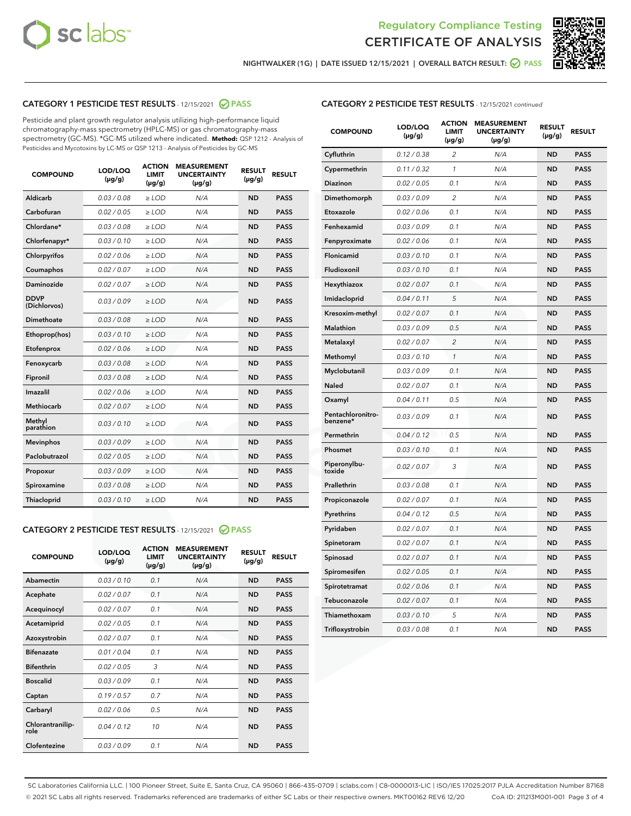



NIGHTWALKER (1G) | DATE ISSUED 12/15/2021 | OVERALL BATCH RESULT: ● PASS

# CATEGORY 1 PESTICIDE TEST RESULTS - 12/15/2021 2 PASS

Pesticide and plant growth regulator analysis utilizing high-performance liquid chromatography-mass spectrometry (HPLC-MS) or gas chromatography-mass spectrometry (GC-MS). \*GC-MS utilized where indicated. **Method:** QSP 1212 - Analysis of Pesticides and Mycotoxins by LC-MS or QSP 1213 - Analysis of Pesticides by GC-MS

| <b>COMPOUND</b>             | LOD/LOQ<br>$(\mu g/g)$ | <b>ACTION</b><br><b>LIMIT</b><br>$(\mu g/g)$ | <b>MEASUREMENT</b><br><b>UNCERTAINTY</b><br>$(\mu g/g)$ | <b>RESULT</b><br>$(\mu g/g)$ | <b>RESULT</b> |
|-----------------------------|------------------------|----------------------------------------------|---------------------------------------------------------|------------------------------|---------------|
| Aldicarb                    | 0.03 / 0.08            | $\ge$ LOD                                    | N/A                                                     | <b>ND</b>                    | <b>PASS</b>   |
| Carbofuran                  | 0.02 / 0.05            | $\ge$ LOD                                    | N/A                                                     | <b>ND</b>                    | <b>PASS</b>   |
| Chlordane*                  | 0.03 / 0.08            | $\ge$ LOD                                    | N/A                                                     | <b>ND</b>                    | <b>PASS</b>   |
| Chlorfenapyr*               | 0.03/0.10              | $\ge$ LOD                                    | N/A                                                     | <b>ND</b>                    | <b>PASS</b>   |
| Chlorpyrifos                | 0.02 / 0.06            | $\ge$ LOD                                    | N/A                                                     | <b>ND</b>                    | <b>PASS</b>   |
| Coumaphos                   | 0.02 / 0.07            | $\ge$ LOD                                    | N/A                                                     | <b>ND</b>                    | <b>PASS</b>   |
| Daminozide                  | 0.02 / 0.07            | $\ge$ LOD                                    | N/A                                                     | <b>ND</b>                    | <b>PASS</b>   |
| <b>DDVP</b><br>(Dichlorvos) | 0.03/0.09              | $>$ LOD                                      | N/A                                                     | <b>ND</b>                    | <b>PASS</b>   |
| Dimethoate                  | 0.03 / 0.08            | $\ge$ LOD                                    | N/A                                                     | <b>ND</b>                    | <b>PASS</b>   |
| Ethoprop(hos)               | 0.03/0.10              | $>$ LOD                                      | N/A                                                     | <b>ND</b>                    | <b>PASS</b>   |
| Etofenprox                  | 0.02 / 0.06            | $\ge$ LOD                                    | N/A                                                     | <b>ND</b>                    | <b>PASS</b>   |
| Fenoxycarb                  | 0.03 / 0.08            | $\ge$ LOD                                    | N/A                                                     | <b>ND</b>                    | <b>PASS</b>   |
| Fipronil                    | 0.03/0.08              | $\ge$ LOD                                    | N/A                                                     | <b>ND</b>                    | <b>PASS</b>   |
| Imazalil                    | 0.02 / 0.06            | $\geq$ LOD                                   | N/A                                                     | <b>ND</b>                    | <b>PASS</b>   |
| <b>Methiocarb</b>           | 0.02 / 0.07            | $\ge$ LOD                                    | N/A                                                     | <b>ND</b>                    | <b>PASS</b>   |
| Methyl<br>parathion         | 0.03/0.10              | $\ge$ LOD                                    | N/A                                                     | <b>ND</b>                    | <b>PASS</b>   |
| <b>Mevinphos</b>            | 0.03/0.09              | $\ge$ LOD                                    | N/A                                                     | <b>ND</b>                    | <b>PASS</b>   |
| Paclobutrazol               | 0.02 / 0.05            | $>$ LOD                                      | N/A                                                     | <b>ND</b>                    | <b>PASS</b>   |
| Propoxur                    | 0.03 / 0.09            | $\ge$ LOD                                    | N/A                                                     | <b>ND</b>                    | <b>PASS</b>   |
| Spiroxamine                 | 0.03 / 0.08            | $\ge$ LOD                                    | N/A                                                     | <b>ND</b>                    | <b>PASS</b>   |
| Thiacloprid                 | 0.03/0.10              | $\ge$ LOD                                    | N/A                                                     | <b>ND</b>                    | <b>PASS</b>   |

#### CATEGORY 2 PESTICIDE TEST RESULTS - 12/15/2021 @ PASS

| <b>COMPOUND</b>          | LOD/LOO<br>$(\mu g/g)$ | <b>ACTION</b><br>LIMIT<br>$(\mu g/g)$ | <b>MEASUREMENT</b><br><b>UNCERTAINTY</b><br>$(\mu g/g)$ | <b>RESULT</b><br>$(\mu g/g)$ | <b>RESULT</b> |  |
|--------------------------|------------------------|---------------------------------------|---------------------------------------------------------|------------------------------|---------------|--|
| Abamectin                | 0.03/0.10              | 0.1                                   | N/A                                                     | <b>ND</b>                    | <b>PASS</b>   |  |
| Acephate                 | 0.02/0.07              | 0.1                                   | N/A                                                     | <b>ND</b>                    | <b>PASS</b>   |  |
| Acequinocyl              | 0.02/0.07              | 0.1                                   | N/A                                                     | <b>ND</b>                    | <b>PASS</b>   |  |
| Acetamiprid              | 0.02 / 0.05            | 0.1                                   | N/A                                                     | <b>ND</b>                    | <b>PASS</b>   |  |
| Azoxystrobin             | 0.02/0.07              | 0.1                                   | N/A                                                     | <b>ND</b>                    | <b>PASS</b>   |  |
| <b>Bifenazate</b>        | 0.01 / 0.04            | 0.1                                   | N/A                                                     | <b>ND</b>                    | <b>PASS</b>   |  |
| <b>Bifenthrin</b>        | 0.02 / 0.05            | 3                                     | N/A                                                     | <b>ND</b>                    | <b>PASS</b>   |  |
| <b>Boscalid</b>          | 0.03/0.09              | 0.1                                   | N/A                                                     | <b>ND</b>                    | <b>PASS</b>   |  |
| Captan                   | 0.19/0.57              | 0.7                                   | N/A                                                     | <b>ND</b>                    | <b>PASS</b>   |  |
| Carbaryl                 | 0.02/0.06              | 0.5                                   | N/A                                                     | <b>ND</b>                    | <b>PASS</b>   |  |
| Chlorantranilip-<br>role | 0.04/0.12              | 10                                    | N/A                                                     | <b>ND</b>                    | <b>PASS</b>   |  |
| Clofentezine             | 0.03/0.09              | 0.1                                   | N/A                                                     | <b>ND</b>                    | <b>PASS</b>   |  |

# CATEGORY 2 PESTICIDE TEST RESULTS - 12/15/2021 continued

| <b>COMPOUND</b>               | LOD/LOQ<br>(µg/g) | <b>ACTION</b><br><b>LIMIT</b><br>$(\mu g/g)$ | <b>MEASUREMENT</b><br><b>UNCERTAINTY</b><br>$(\mu g/g)$ | <b>RESULT</b><br>(µg/g) | <b>RESULT</b> |
|-------------------------------|-------------------|----------------------------------------------|---------------------------------------------------------|-------------------------|---------------|
| Cyfluthrin                    | 0.12 / 0.38       | $\overline{c}$                               | N/A                                                     | ND                      | <b>PASS</b>   |
| Cypermethrin                  | 0.11 / 0.32       | $\mathcal{I}$                                | N/A                                                     | ND                      | <b>PASS</b>   |
| <b>Diazinon</b>               | 0.02 / 0.05       | 0.1                                          | N/A                                                     | <b>ND</b>               | <b>PASS</b>   |
| Dimethomorph                  | 0.03 / 0.09       | 2                                            | N/A                                                     | ND                      | <b>PASS</b>   |
| Etoxazole                     | 0.02 / 0.06       | 0.1                                          | N/A                                                     | ND                      | <b>PASS</b>   |
| Fenhexamid                    | 0.03 / 0.09       | 0.1                                          | N/A                                                     | ND                      | <b>PASS</b>   |
| Fenpyroximate                 | 0.02 / 0.06       | 0.1                                          | N/A                                                     | <b>ND</b>               | <b>PASS</b>   |
| Flonicamid                    | 0.03 / 0.10       | 0.1                                          | N/A                                                     | ND                      | <b>PASS</b>   |
| Fludioxonil                   | 0.03 / 0.10       | 0.1                                          | N/A                                                     | ND                      | <b>PASS</b>   |
| Hexythiazox                   | 0.02 / 0.07       | 0.1                                          | N/A                                                     | ND                      | <b>PASS</b>   |
| Imidacloprid                  | 0.04 / 0.11       | 5                                            | N/A                                                     | ND                      | <b>PASS</b>   |
| Kresoxim-methyl               | 0.02 / 0.07       | 0.1                                          | N/A                                                     | ND                      | <b>PASS</b>   |
| Malathion                     | 0.03 / 0.09       | 0.5                                          | N/A                                                     | <b>ND</b>               | <b>PASS</b>   |
| Metalaxyl                     | 0.02 / 0.07       | $\overline{c}$                               | N/A                                                     | ND                      | <b>PASS</b>   |
| Methomyl                      | 0.03 / 0.10       | 1                                            | N/A                                                     | ND                      | <b>PASS</b>   |
| Myclobutanil                  | 0.03 / 0.09       | 0.1                                          | N/A                                                     | <b>ND</b>               | <b>PASS</b>   |
| Naled                         | 0.02 / 0.07       | 0.1                                          | N/A                                                     | ND                      | <b>PASS</b>   |
| Oxamyl                        | 0.04 / 0.11       | 0.5                                          | N/A                                                     | ND                      | <b>PASS</b>   |
| Pentachloronitro-<br>benzene* | 0.03 / 0.09       | 0.1                                          | N/A                                                     | ND                      | <b>PASS</b>   |
| Permethrin                    | 0.04 / 0.12       | 0.5                                          | N/A                                                     | ND                      | <b>PASS</b>   |
| Phosmet                       | 0.03 / 0.10       | 0.1                                          | N/A                                                     | ND                      | <b>PASS</b>   |
| Piperonylbu-<br>toxide        | 0.02 / 0.07       | 3                                            | N/A                                                     | ND                      | <b>PASS</b>   |
| Prallethrin                   | 0.03 / 0.08       | 0.1                                          | N/A                                                     | ND                      | <b>PASS</b>   |
| Propiconazole                 | 0.02 / 0.07       | 0.1                                          | N/A                                                     | ND                      | <b>PASS</b>   |
| Pyrethrins                    | 0.04 / 0.12       | 0.5                                          | N/A                                                     | ND                      | <b>PASS</b>   |
| Pyridaben                     | 0.02 / 0.07       | 0.1                                          | N/A                                                     | <b>ND</b>               | <b>PASS</b>   |
| Spinetoram                    | 0.02 / 0.07       | 0.1                                          | N/A                                                     | ND                      | <b>PASS</b>   |
| Spinosad                      | 0.02 / 0.07       | 0.1                                          | N/A                                                     | ND                      | <b>PASS</b>   |
| Spiromesifen                  | 0.02 / 0.05       | 0.1                                          | N/A                                                     | <b>ND</b>               | <b>PASS</b>   |
| Spirotetramat                 | 0.02 / 0.06       | 0.1                                          | N/A                                                     | ND                      | <b>PASS</b>   |
| Tebuconazole                  | 0.02 / 0.07       | 0.1                                          | N/A                                                     | ND                      | <b>PASS</b>   |
| Thiamethoxam                  | 0.03 / 0.10       | 5                                            | N/A                                                     | <b>ND</b>               | <b>PASS</b>   |
| Trifloxystrobin               | 0.03 / 0.08       | 0.1                                          | N/A                                                     | <b>ND</b>               | <b>PASS</b>   |

SC Laboratories California LLC. | 100 Pioneer Street, Suite E, Santa Cruz, CA 95060 | 866-435-0709 | sclabs.com | C8-0000013-LIC | ISO/IES 17025:2017 PJLA Accreditation Number 87168 © 2021 SC Labs all rights reserved. Trademarks referenced are trademarks of either SC Labs or their respective owners. MKT00162 REV6 12/20 CoA ID: 211213M001-001 Page 3 of 4